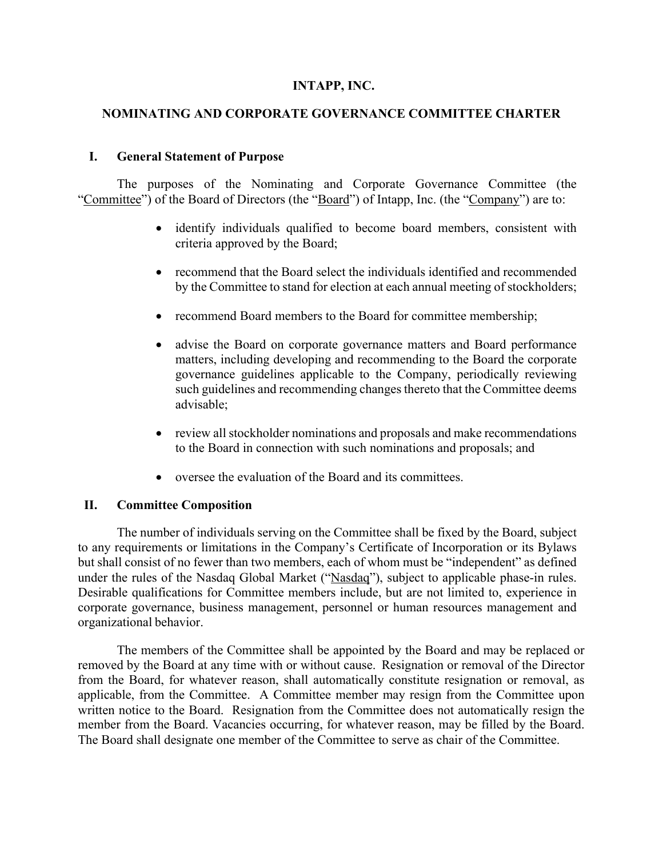#### **INTAPP, INC.**

### **NOMINATING AND CORPORATE GOVERNANCE COMMITTEE CHARTER**

#### **I. General Statement of Purpose**

The purposes of the Nominating and Corporate Governance Committee (the "Committee") of the Board of Directors (the "Board") of Intapp, Inc. (the "Company") are to:

- identify individuals qualified to become board members, consistent with criteria approved by the Board;
- recommend that the Board select the individuals identified and recommended by the Committee to stand for election at each annual meeting of stockholders;
- recommend Board members to the Board for committee membership;
- advise the Board on corporate governance matters and Board performance matters, including developing and recommending to the Board the corporate governance guidelines applicable to the Company, periodically reviewing such guidelines and recommending changes thereto that the Committee deems advisable;
- review all stockholder nominations and proposals and make recommendations to the Board in connection with such nominations and proposals; and
- oversee the evaluation of the Board and its committees.

#### **II. Committee Composition**

The number of individuals serving on the Committee shall be fixed by the Board, subject to any requirements or limitations in the Company's Certificate of Incorporation or its Bylaws but shall consist of no fewer than two members, each of whom must be "independent" as defined under the rules of the Nasdaq Global Market ("Nasdaq"), subject to applicable phase-in rules. Desirable qualifications for Committee members include, but are not limited to, experience in corporate governance, business management, personnel or human resources management and organizational behavior.

The members of the Committee shall be appointed by the Board and may be replaced or removed by the Board at any time with or without cause. Resignation or removal of the Director from the Board, for whatever reason, shall automatically constitute resignation or removal, as applicable, from the Committee. A Committee member may resign from the Committee upon written notice to the Board. Resignation from the Committee does not automatically resign the member from the Board. Vacancies occurring, for whatever reason, may be filled by the Board. The Board shall designate one member of the Committee to serve as chair of the Committee.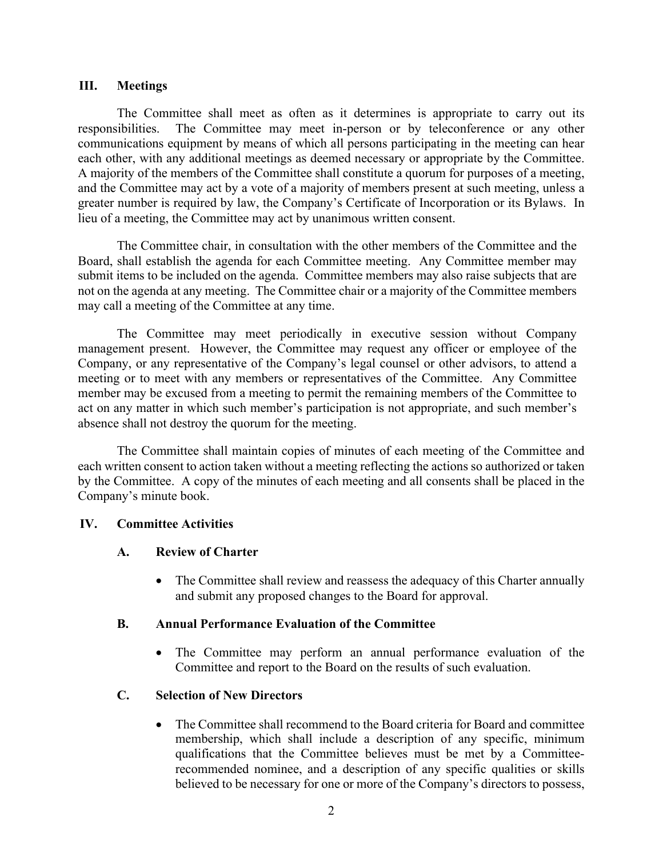### **III. Meetings**

The Committee shall meet as often as it determines is appropriate to carry out its responsibilities. The Committee may meet in-person or by teleconference or any other communications equipment by means of which all persons participating in the meeting can hear each other, with any additional meetings as deemed necessary or appropriate by the Committee. A majority of the members of the Committee shall constitute a quorum for purposes of a meeting, and the Committee may act by a vote of a majority of members present at such meeting, unless a greater number is required by law, the Company's Certificate of Incorporation or its Bylaws. In lieu of a meeting, the Committee may act by unanimous written consent.

The Committee chair, in consultation with the other members of the Committee and the Board, shall establish the agenda for each Committee meeting. Any Committee member may submit items to be included on the agenda. Committee members may also raise subjects that are not on the agenda at any meeting. The Committee chair or a majority of the Committee members may call a meeting of the Committee at any time.

The Committee may meet periodically in executive session without Company management present. However, the Committee may request any officer or employee of the Company, or any representative of the Company's legal counsel or other advisors, to attend a meeting or to meet with any members or representatives of the Committee. Any Committee member may be excused from a meeting to permit the remaining members of the Committee to act on any matter in which such member's participation is not appropriate, and such member's absence shall not destroy the quorum for the meeting.

The Committee shall maintain copies of minutes of each meeting of the Committee and each written consent to action taken without a meeting reflecting the actions so authorized or taken by the Committee. A copy of the minutes of each meeting and all consents shall be placed in the Company's minute book.

### **IV. Committee Activities**

### **A. Review of Charter**

• The Committee shall review and reassess the adequacy of this Charter annually and submit any proposed changes to the Board for approval.

### **B. Annual Performance Evaluation of the Committee**

The Committee may perform an annual performance evaluation of the Committee and report to the Board on the results of such evaluation.

### **C. Selection of New Directors**

• The Committee shall recommend to the Board criteria for Board and committee membership, which shall include a description of any specific, minimum qualifications that the Committee believes must be met by a Committeerecommended nominee, and a description of any specific qualities or skills believed to be necessary for one or more of the Company's directors to possess,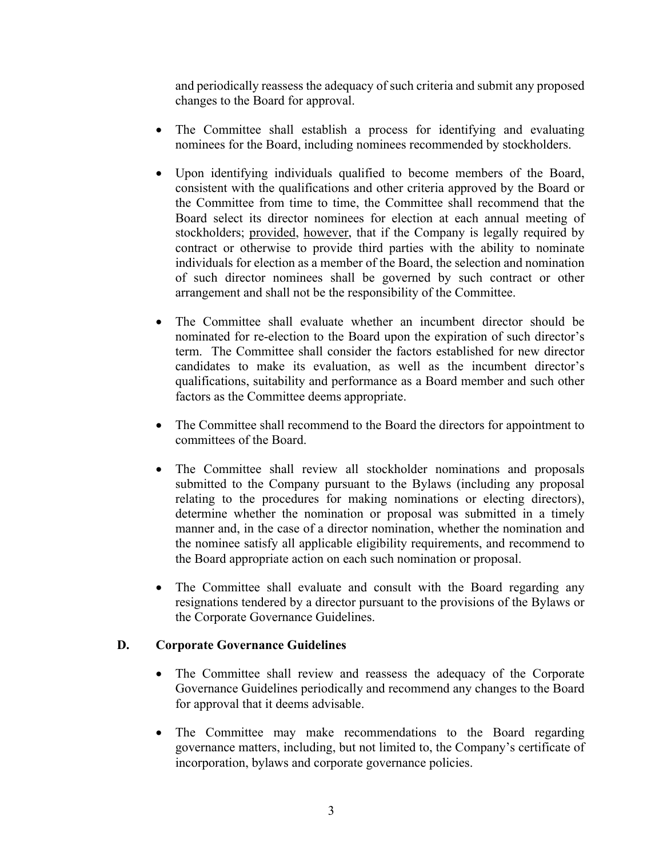and periodically reassess the adequacy of such criteria and submit any proposed changes to the Board for approval.

- The Committee shall establish a process for identifying and evaluating nominees for the Board, including nominees recommended by stockholders.
- Upon identifying individuals qualified to become members of the Board, consistent with the qualifications and other criteria approved by the Board or the Committee from time to time, the Committee shall recommend that the Board select its director nominees for election at each annual meeting of stockholders; provided, however, that if the Company is legally required by contract or otherwise to provide third parties with the ability to nominate individuals for election as a member of the Board, the selection and nomination of such director nominees shall be governed by such contract or other arrangement and shall not be the responsibility of the Committee.
- The Committee shall evaluate whether an incumbent director should be nominated for re-election to the Board upon the expiration of such director's term. The Committee shall consider the factors established for new director candidates to make its evaluation, as well as the incumbent director's qualifications, suitability and performance as a Board member and such other factors as the Committee deems appropriate.
- The Committee shall recommend to the Board the directors for appointment to committees of the Board.
- The Committee shall review all stockholder nominations and proposals submitted to the Company pursuant to the Bylaws (including any proposal relating to the procedures for making nominations or electing directors), determine whether the nomination or proposal was submitted in a timely manner and, in the case of a director nomination, whether the nomination and the nominee satisfy all applicable eligibility requirements, and recommend to the Board appropriate action on each such nomination or proposal.
- The Committee shall evaluate and consult with the Board regarding any resignations tendered by a director pursuant to the provisions of the Bylaws or the Corporate Governance Guidelines.

### **D. Corporate Governance Guidelines**

- The Committee shall review and reassess the adequacy of the Corporate Governance Guidelines periodically and recommend any changes to the Board for approval that it deems advisable.
- The Committee may make recommendations to the Board regarding governance matters, including, but not limited to, the Company's certificate of incorporation, bylaws and corporate governance policies.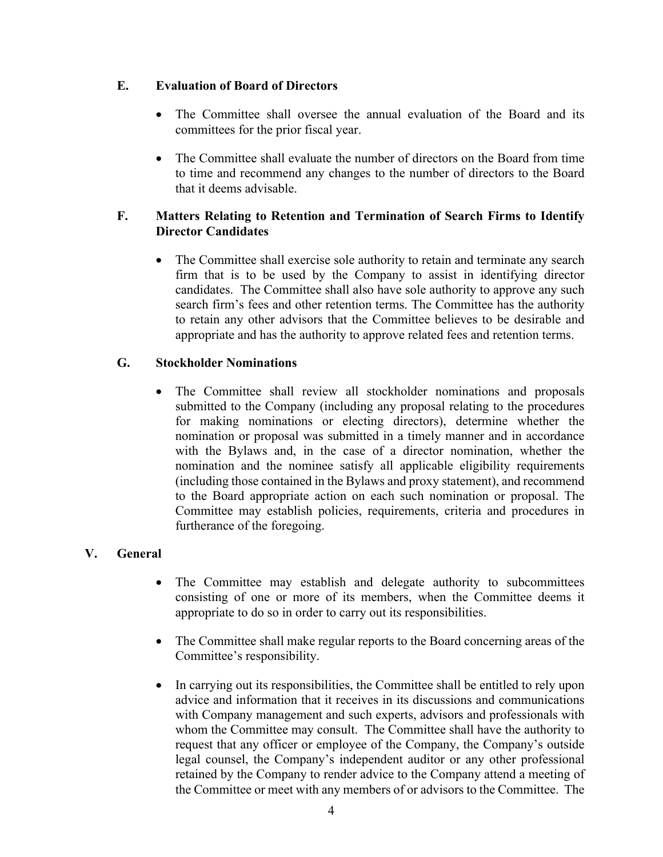## **E. Evaluation of Board of Directors**

- The Committee shall oversee the annual evaluation of the Board and its committees for the prior fiscal year.
- The Committee shall evaluate the number of directors on the Board from time to time and recommend any changes to the number of directors to the Board that it deems advisable.

## **F. Matters Relating to Retention and Termination of Search Firms to Identify Director Candidates**

• The Committee shall exercise sole authority to retain and terminate any search firm that is to be used by the Company to assist in identifying director candidates. The Committee shall also have sole authority to approve any such search firm's fees and other retention terms. The Committee has the authority to retain any other advisors that the Committee believes to be desirable and appropriate and has the authority to approve related fees and retention terms.

### **G. Stockholder Nominations**

• The Committee shall review all stockholder nominations and proposals submitted to the Company (including any proposal relating to the procedures for making nominations or electing directors), determine whether the nomination or proposal was submitted in a timely manner and in accordance with the Bylaws and, in the case of a director nomination, whether the nomination and the nominee satisfy all applicable eligibility requirements (including those contained in the Bylaws and proxy statement), and recommend to the Board appropriate action on each such nomination or proposal. The Committee may establish policies, requirements, criteria and procedures in furtherance of the foregoing.

# **V. General**

- The Committee may establish and delegate authority to subcommittees consisting of one or more of its members, when the Committee deems it appropriate to do so in order to carry out its responsibilities.
- The Committee shall make regular reports to the Board concerning areas of the Committee's responsibility.
- In carrying out its responsibilities, the Committee shall be entitled to rely upon advice and information that it receives in its discussions and communications with Company management and such experts, advisors and professionals with whom the Committee may consult. The Committee shall have the authority to request that any officer or employee of the Company, the Company's outside legal counsel, the Company's independent auditor or any other professional retained by the Company to render advice to the Company attend a meeting of the Committee or meet with any members of or advisors to the Committee. The